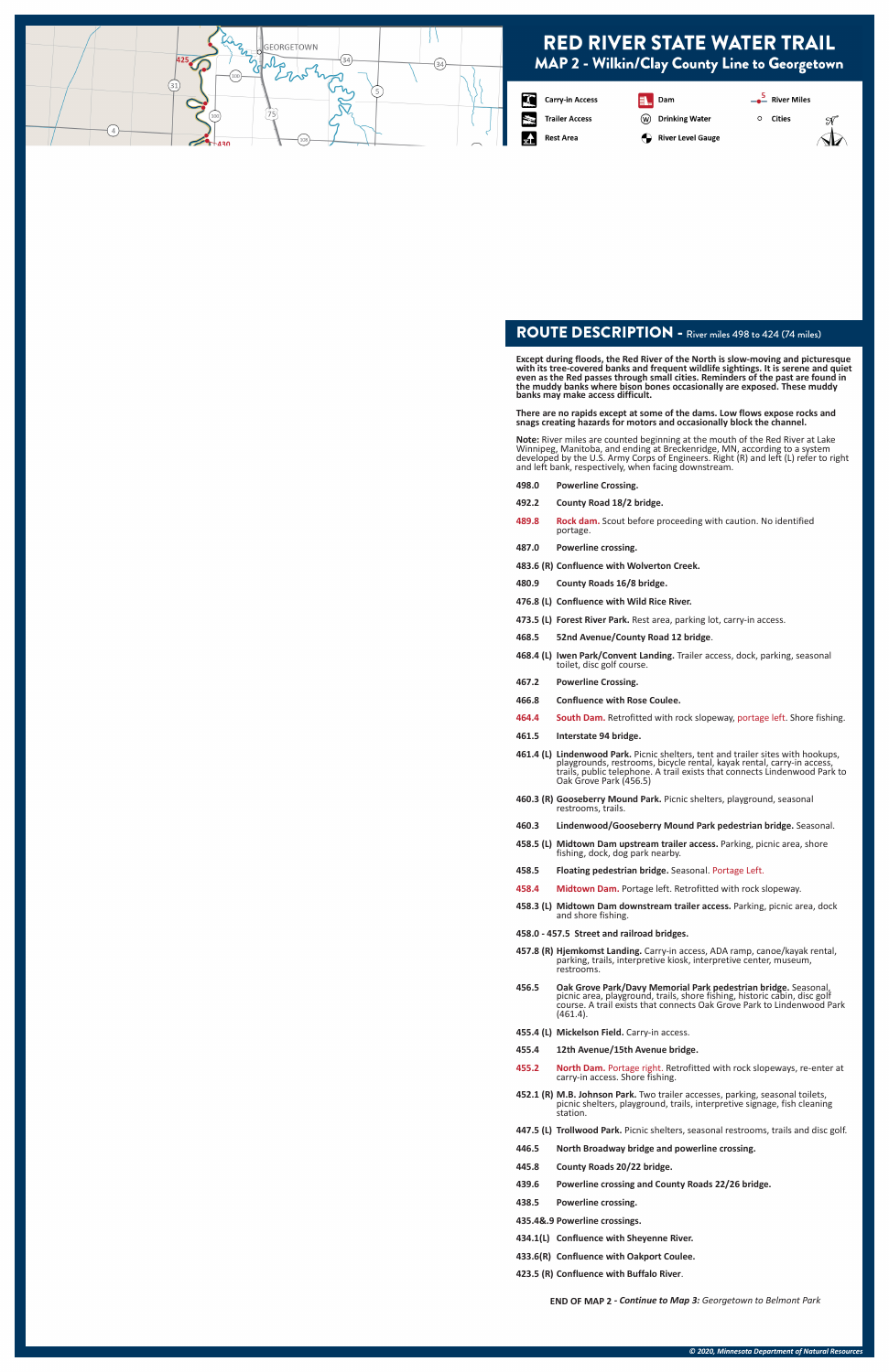### ROUTE DESCRIPTION - River miles 498 to 424 (74 miles)

**Except during floods, the Red River of the North is slow-moving and picturesque with its tree-covered banks and frequent wildlife sightings. It is serene and quiet even as the Red passes through small cities. Reminders of the past are found in the muddy banks where bison bones occasionally are exposed. These muddy banks may make access difficult.** 

 $\circ$ 

**There are no rapids except at some of the dams. Low flows expose rocks and snags creating hazards for motors and occasionally block the channel.**

**Note:** River miles are counted beginning at the mouth of the Red River at Lake Winnipeg, Manitoba, and ending at Breckenridge, MN, according to a system developed by the U.S. Army Corps of Engineers. Right (R) and left (L) refer to right and left bank, respectively, when facing downstream.

- **498.0 Powerline Crossing.**
- **492.2 County Road 18/2 bridge.**
- **489.8 Rock dam.** Scout before proceeding with caution. No identified portage.
- **487.0 Powerline crossing.**
- **483.6 (R) Confluence with Wolverton Creek.**
- **480.9 County Roads 16/8 bridge.**
- **476.8 (L) Confluence with Wild Rice River.**
- **473.5 (L) Forest River Park.** Rest area, parking lot, carry-in access.
- **468.5 52nd Avenue/County Road 12 bridge**.
- **468.4 (L) Iwen Park/Convent Landing.** Trailer access, dock, parking, seasonal toilet, disc golf course.
- **467.2 Powerline Crossing.**
- **466.8 Confluence with Rose Coulee.**
- **464.4 South Dam.** Retrofitted with rock slopeway, portage left. Shore fishing.
- **461.5 Interstate 94 bridge.**
- **461.4 (L) Lindenwood Park.** Picnic shelters, tent and trailer sites with hookups, playgrounds, restrooms, bicycle rental, kayak rental, carry-in access, trails, public telephone. A trail exists that connects Lindenwood Park to Oak Grove Park (456.5)
- **460.3 (R) Gooseberry Mound Park.** Picnic shelters, playground, seasonal restrooms, trails.
- **460.3 Lindenwood/Gooseberry Mound Park pedestrian bridge.** Seasonal.
- **458.5 (L) Midtown Dam upstream trailer access.** Parking, picnic area, shore fishing, dock, dog park nearby.
- **458.5 Floating pedestrian bridge.** Seasonal. Portage Left.
- **458.4 Midtown Dam.** Portage left. Retrofitted with rock slopeway.
- **458.3 (L) Midtown Dam downstream trailer access.** Parking, picnic area, dock and shore fishing.
- **458.0 457.5 Street and railroad bridges.**
- **457.8 (R) Hjemkomst Landing.** Carry-in access, ADA ramp, canoe/kayak rental, parking, trails, interpretive kiosk, interpretive center, museum, restrooms.
- **456.5 Oak Grove Park/Davy Memorial Park pedestrian bridge.** Seasonal, picnic area, playground, trails, shore fishing, historic cabin, disc golf course. A trail exists that connects Oak Grove Park to Lindenwood Park
	- (461.4).
- **455.4 (L) Mickelson Field.** Carry-in access.
- **455.4 12th Avenue/15th Avenue bridge.**
- **455.2 North Dam.** Portage right. Retrofitted with rock slopeways, re-enter at carry-in access. Shore fishing.
- **452.1 (R) M.B. Johnson Park.** Two trailer accesses, parking, seasonal toilets, picnic shelters, playground, trails, interpretive signage, fish cleaning station.
- **447.5 (L) Trollwood Park.** Picnic shelters, seasonal restrooms, trails and disc golf.
- **446.5 North Broadway bridge and powerline crossing.**
- **445.8 County Roads 20/22 bridge.**
- **439.6 Powerline crossing and County Roads 22/26 bridge.**
- **438.5 Powerline crossing.**
- **435.4&.9 Powerline crossings.**
- **434.1(L) Confluence with Sheyenne River.**
- **433.6(R) Confluence with Oakport Coulee.**
- **423.5 (R) Confluence with Buffalo River**.

**END OF MAP 2** *- Continue to Map 3: Georgetown to Belmont Park*